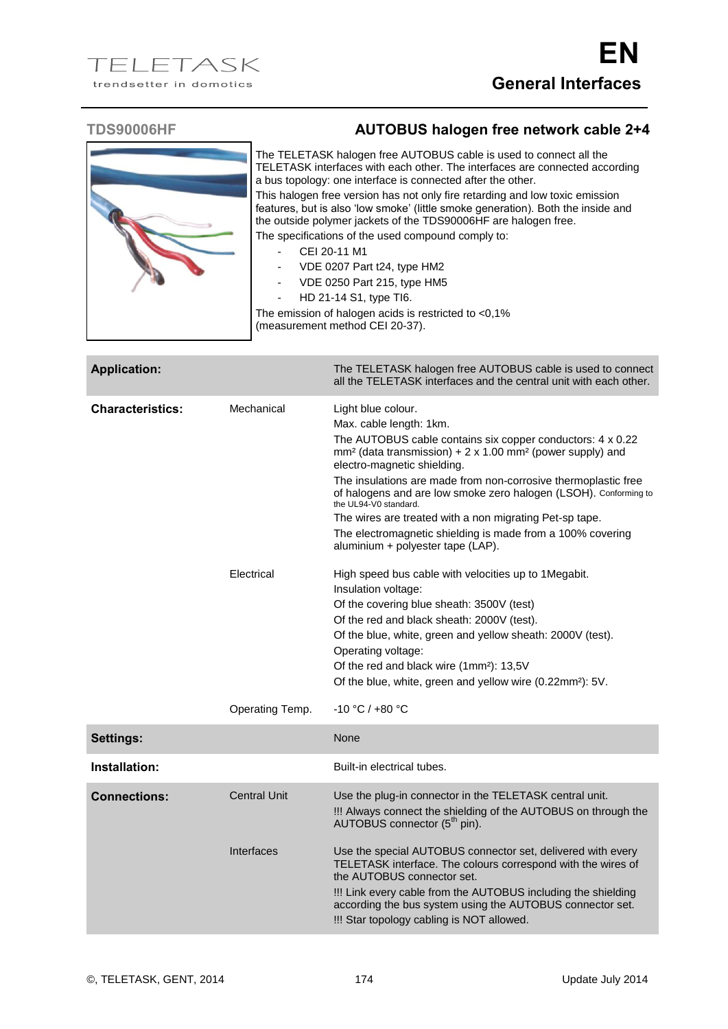

## **TDS90006HF AUTOBUS halogen free network cable 2+4**

The TELETASK halogen free AUTOBUS cable is used to connect all the TELETASK interfaces with each other. The interfaces are connected according a bus topology: one interface is connected after the other. This halogen free version has not only fire retarding and low toxic emission features, but is also 'low smoke' (little smoke generation). Both the inside and the outside polymer jackets of the TDS90006HF are halogen free.

The specifications of the used compound comply to:

- CEI 20-11 M1
- VDE 0207 Part t24, type HM2
- VDE 0250 Part 215, type HM5
- HD 21-14 S1, type TI6.

The emission of halogen acids is restricted to <0,1% (measurement method CEI 20-37).

| <b>Application:</b>     |                     | The TELETASK halogen free AUTOBUS cable is used to connect<br>all the TELETASK interfaces and the central unit with each other.                                                                                                                                                                                                                                                                                                                                                                                                                              |
|-------------------------|---------------------|--------------------------------------------------------------------------------------------------------------------------------------------------------------------------------------------------------------------------------------------------------------------------------------------------------------------------------------------------------------------------------------------------------------------------------------------------------------------------------------------------------------------------------------------------------------|
| <b>Characteristics:</b> | Mechanical          | Light blue colour.<br>Max. cable length: 1km.<br>The AUTOBUS cable contains six copper conductors: 4 x 0.22<br>mm <sup>2</sup> (data transmission) + 2 x 1.00 mm <sup>2</sup> (power supply) and<br>electro-magnetic shielding.<br>The insulations are made from non-corrosive thermoplastic free<br>of halogens and are low smoke zero halogen (LSOH). Conforming to<br>the UL94-V0 standard.<br>The wires are treated with a non migrating Pet-sp tape.<br>The electromagnetic shielding is made from a 100% covering<br>aluminium + polyester tape (LAP). |
|                         | Electrical          | High speed bus cable with velocities up to 1Megabit.<br>Insulation voltage:<br>Of the covering blue sheath: 3500V (test)<br>Of the red and black sheath: 2000V (test).<br>Of the blue, white, green and yellow sheath: 2000V (test).<br>Operating voltage:<br>Of the red and black wire (1mm <sup>2</sup> ): 13,5V<br>Of the blue, white, green and yellow wire (0.22mm <sup>2</sup> ): 5V.                                                                                                                                                                  |
|                         | Operating Temp.     | $-10 °C / +80 °C$                                                                                                                                                                                                                                                                                                                                                                                                                                                                                                                                            |
| <b>Settings:</b>        |                     | None                                                                                                                                                                                                                                                                                                                                                                                                                                                                                                                                                         |
| Installation:           |                     | Built-in electrical tubes.                                                                                                                                                                                                                                                                                                                                                                                                                                                                                                                                   |
| <b>Connections:</b>     | <b>Central Unit</b> | Use the plug-in connector in the TELETASK central unit.<br>!!! Always connect the shielding of the AUTOBUS on through the<br>AUTOBUS connector (5 <sup>th</sup> pin).                                                                                                                                                                                                                                                                                                                                                                                        |
|                         | Interfaces          | Use the special AUTOBUS connector set, delivered with every<br>TELETASK interface. The colours correspond with the wires of<br>the AUTOBUS connector set.<br>!!! Link every cable from the AUTOBUS including the shielding<br>according the bus system using the AUTOBUS connector set.                                                                                                                                                                                                                                                                      |

!!! Star topology cabling is NOT allowed.